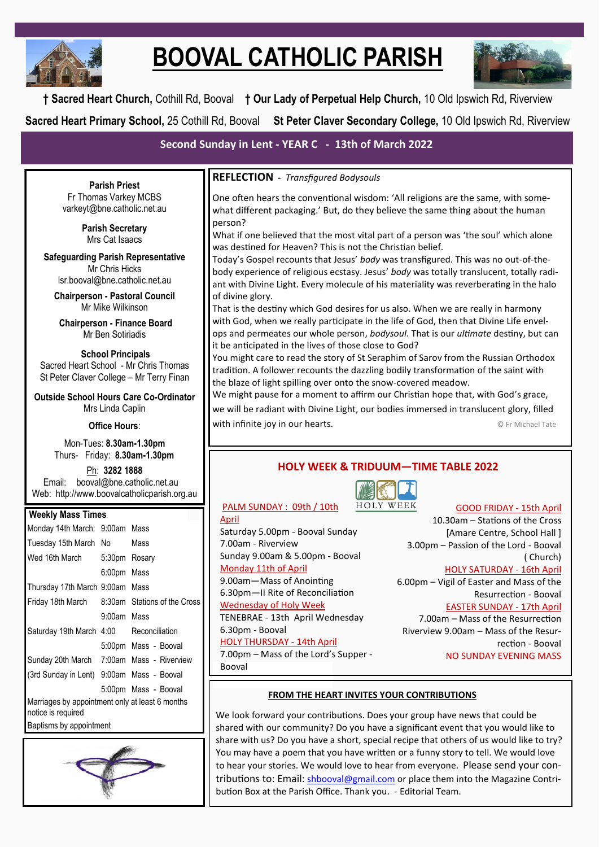

# **BOOVAL CATHOLIC PARISH**



**† Sacred Heart Church,** Cothill Rd, Booval **† Our Lady of Perpetual Help Church,** 10 Old Ipswich Rd, Riverview **Sacred Heart Primary School,** 25 Cothill Rd, Booval **St Peter Claver Secondary College,** 10 Old Ipswich Rd, Riverview

# **Second Sunday in Lent - YEAR C - 13th of March 2022**

**Parish Priest** Fr Thomas Varkey MCBS varkeyt@bne.catholic.net.au

> **Parish Secretary** Mrs Cat Isaacs

**Safeguarding Parish Representative** Mr Chris Hicks [lsr.booval@bne.catholic.net.au](mailto:lsr.booval@bne.catholi.net.au)

**Chairperson - Pastoral Council** Mr Mike Wilkinson

**Chairperson - Finance Board** Mr Ben Sotiriadis

#### **School Principals** Sacred Heart School - Mr Chris Thomas St Peter Claver College – Mr Terry Finan

**Outside School Hours Care Co-Ordinator** Mrs Linda Caplin

#### **Office Hours**:

Mon-Tues: **8.30am-1.30pm** Thurs- Friday: **8.30am-1.30pm**

Ph: **3282 1888**  Email: booval@bne.catholic.net.au Web: http://www.boovalcatholicparish.org.au

#### **Weekly Mass Times**

| Monday 14th March: 9:00am Mass                                        |             |                      |  |  |
|-----------------------------------------------------------------------|-------------|----------------------|--|--|
| Tuesday 15th March No                                                 |             | Mass                 |  |  |
| Wed 16th March 5:30pm Rosary                                          |             |                      |  |  |
|                                                                       | 6:00pm Mass |                      |  |  |
| Thursday 17th March 9:00am Mass                                       |             |                      |  |  |
| Friday 18th March 8:30am Stations of the Cross                        |             |                      |  |  |
|                                                                       | 9:00am Mass |                      |  |  |
| Saturday 19th March 4:00 Reconciliation                               |             |                      |  |  |
|                                                                       |             | 5:00pm Mass - Booval |  |  |
| Sunday 20th March 7:00am Mass - Riverview                             |             |                      |  |  |
| (3rd Sunday in Lent) 9:00am Mass - Booval                             |             |                      |  |  |
|                                                                       |             | 5:00pm Mass - Booval |  |  |
| Marriages by appointment only at least 6 months<br>notice is required |             |                      |  |  |
| Baptisms by appointment                                               |             |                      |  |  |



#### **REFLECTION -** *Transfigured Bodysouls*

One often hears the conventional wisdom: 'All religions are the same, with somewhat different packaging.' But, do they believe the same thing about the human person?

What if one believed that the most vital part of a person was 'the soul' which alone was destined for Heaven? This is not the Christian belief.

Today's Gospel recounts that Jesus' *body* was transfigured. This was no out-of-thebody experience of religious ecstasy. Jesus' *body* was totally translucent, totally radiant with Divine Light. Every molecule of his materiality was reverberating in the halo of divine glory.

That is the destiny which God desires for us also. When we are really in harmony with God, when we really participate in the life of God, then that Divine Life envelops and permeates our whole person, *bodysoul*. That is our *ultimate* destiny, but can it be anticipated in the lives of those close to God?

You might care to read the story of St Seraphim of Sarov from the Russian Orthodox tradition. A follower recounts the dazzling bodily transformation of the saint with the blaze of light spilling over onto the snow-covered meadow.

We might pause for a moment to affirm our Christian hope that, with God's grace,

we will be radiant with Divine Light, our bodies immersed in translucent glory, filled with infinite joy in our hearts. **Example 20 and Section** 20 and Section 1 and Section 1 and Section 1 and Section 1 and Section 1 and Section 1 and Section 1 and Section 1 and Section 1 and Section 1 and Section 1 and Sec

### **HOLY WEEK & TRIDUUM—TIME TABLE 2022**



GOOD FRIDAY - 15th April

April

Saturday 5.00pm - Booval Sunday 7.00am - Riverview Sunday 9.00am & 5.00pm - Booval Monday 11th of April 9.00am—Mass of Anointing 6.30pm—II Rite of Reconciliation Wednesday of Holy Week TENEBRAE - 13th April Wednesday 6.30pm - Booval HOLY THURSDAY - 14th April 7.00pm – Mass of the Lord's Supper - Booval

PALM SUNDAY : 09th / 10th

10.30am – Stations of the Cross [Amare Centre, School Hall ] 3.00pm – Passion of the Lord - Booval ( Church)

HOLY SATURDAY - 16th April

6.00pm – Vigil of Easter and Mass of the Resurrection - Booval

EASTER SUNDAY - 17th April

7.00am – Mass of the Resurrection Riverview 9.00am – Mass of the Resurrection - Booval NO SUNDAY EVENING MASS

#### **FROM THE HEART INVITES YOUR CONTRIBUTIONS**

We look forward your contributions. Does your group have news that could be shared with our community? Do you have a significant event that you would like to share with us? Do you have a short, special recipe that others of us would like to try? You may have a poem that you have written or a funny story to tell. We would love to hear your stories. We would love to hear from everyone. Please send your contributions to: Email: [shbooval@gmail.com](mailto:shbooval@gmail.com) or place them into the Magazine Contribution Box at the Parish Office. Thank you. - Editorial Team.